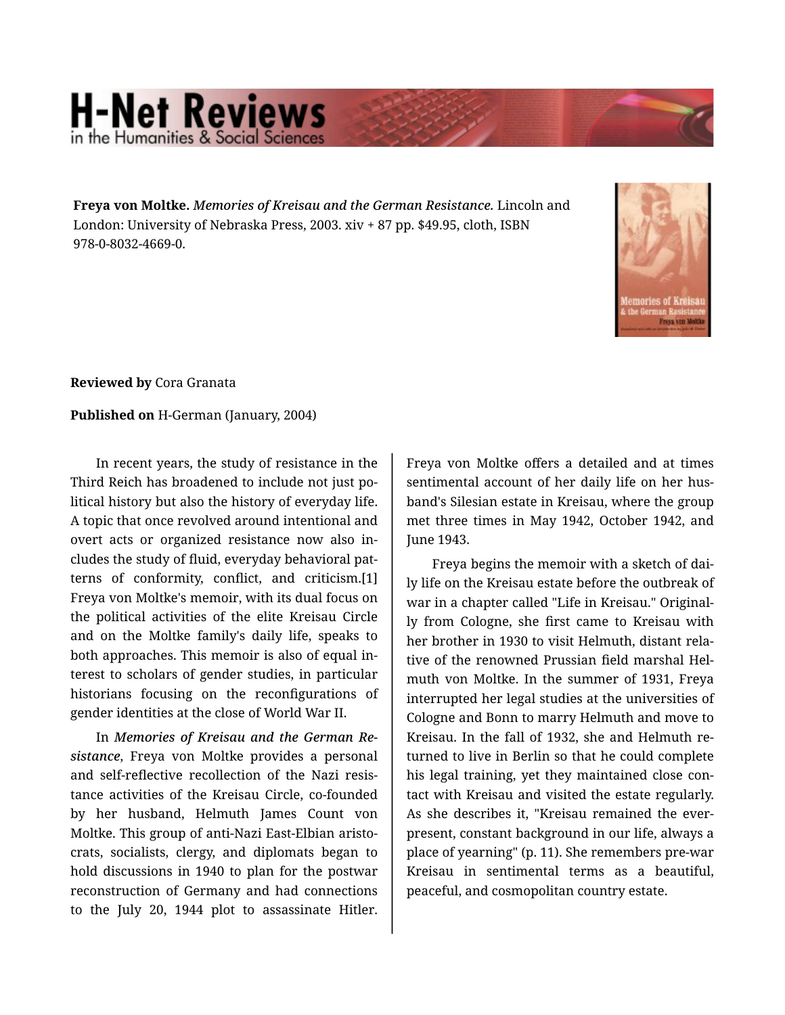## **H-Net Reviews** in the Humanities & Social Scie

**Freya von Moltke.** *Memories of Kreisau and the German Resistance.* Lincoln and London: University of Nebraska Press, 2003. xiv + 87 pp. \$49.95, cloth, ISBN 978-0-8032-4669-0.



**Reviewed by** Cora Granata

## **Published on** H-German (January, 2004)

In recent years, the study of resistance in the Third Reich has broadened to include not just po‐ litical history but also the history of everyday life. A topic that once revolved around intentional and overt acts or organized resistance now also in‐ cludes the study of fluid, everyday behavioral pat‐ terns of conformity, conflict, and criticism.[1] Freya von Moltke's memoir, with its dual focus on the political activities of the elite Kreisau Circle and on the Moltke family's daily life, speaks to both approaches. This memoir is also of equal in‐ terest to scholars of gender studies, in particular historians focusing on the reconfigurations of gender identities at the close of World War II.

In *Memories of Kreisau and the German Re‐ sistance*, Freya von Moltke provides a personal and self-reflective recollection of the Nazi resis‐ tance activities of the Kreisau Circle, co-founded by her husband, Helmuth James Count von Moltke. This group of anti-Nazi East-Elbian aristo‐ crats, socialists, clergy, and diplomats began to hold discussions in 1940 to plan for the postwar reconstruction of Germany and had connections to the July 20, 1944 plot to assassinate Hitler.

Freya von Moltke offers a detailed and at times sentimental account of her daily life on her husband's Silesian estate in Kreisau, where the group met three times in May 1942, October 1942, and June 1943.

Freya begins the memoir with a sketch of dai‐ ly life on the Kreisau estate before the outbreak of war in a chapter called "Life in Kreisau." Original‐ ly from Cologne, she first came to Kreisau with her brother in 1930 to visit Helmuth, distant rela‐ tive of the renowned Prussian field marshal Hel‐ muth von Moltke. In the summer of 1931, Freya interrupted her legal studies at the universities of Cologne and Bonn to marry Helmuth and move to Kreisau. In the fall of 1932, she and Helmuth re‐ turned to live in Berlin so that he could complete his legal training, yet they maintained close con‐ tact with Kreisau and visited the estate regularly. As she describes it, "Kreisau remained the everpresent, constant background in our life, always a place of yearning" (p. 11). She remembers pre-war Kreisau in sentimental terms as a beautiful, peaceful, and cosmopolitan country estate.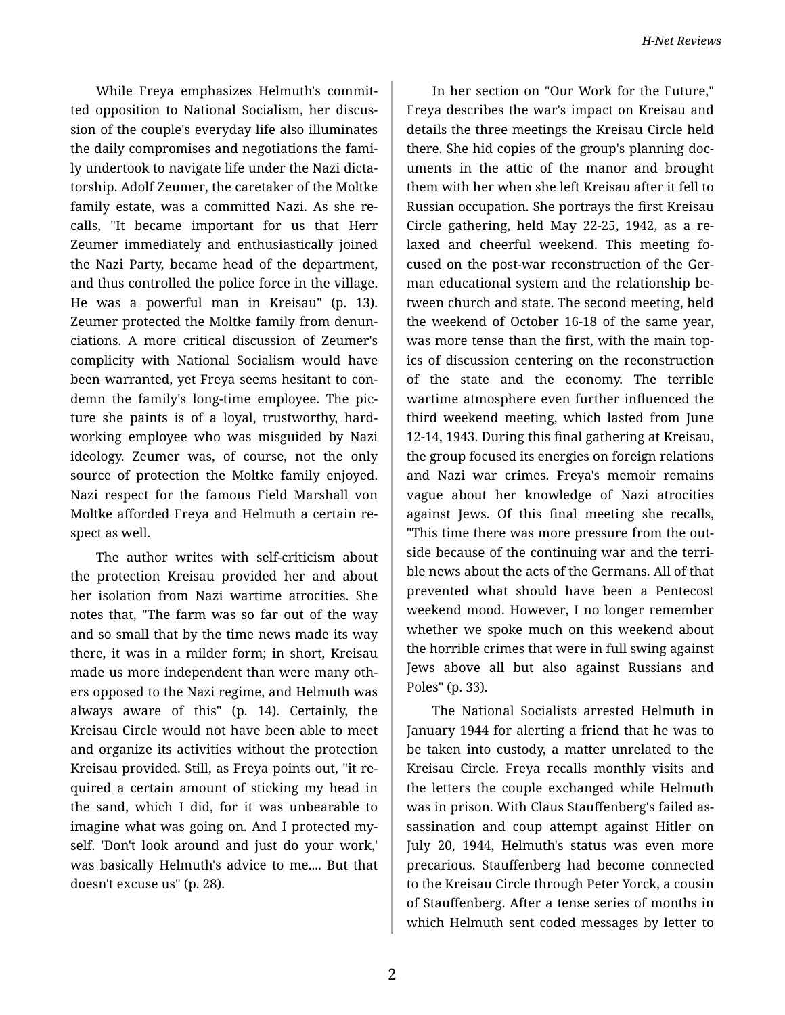While Freya emphasizes Helmuth's commit‐ ted opposition to National Socialism, her discus‐ sion of the couple's everyday life also illuminates the daily compromises and negotiations the fami‐ ly undertook to navigate life under the Nazi dicta‐ torship. Adolf Zeumer, the caretaker of the Moltke family estate, was a committed Nazi. As she re‐ calls, "It became important for us that Herr Zeumer immediately and enthusiastically joined the Nazi Party, became head of the department, and thus controlled the police force in the village. He was a powerful man in Kreisau" (p. 13). Zeumer protected the Moltke family from denun‐ ciations. A more critical discussion of Zeumer's complicity with National Socialism would have been warranted, yet Freya seems hesitant to con‐ demn the family's long-time employee. The pic‐ ture she paints is of a loyal, trustworthy, hardworking employee who was misguided by Nazi ideology. Zeumer was, of course, not the only source of protection the Moltke family enjoyed. Nazi respect for the famous Field Marshall von Moltke afforded Freya and Helmuth a certain re‐ spect as well.

The author writes with self-criticism about the protection Kreisau provided her and about her isolation from Nazi wartime atrocities. She notes that, "The farm was so far out of the way and so small that by the time news made its way there, it was in a milder form; in short, Kreisau made us more independent than were many oth‐ ers opposed to the Nazi regime, and Helmuth was always aware of this" (p. 14). Certainly, the Kreisau Circle would not have been able to meet and organize its activities without the protection Kreisau provided. Still, as Freya points out, "it re‐ quired a certain amount of sticking my head in the sand, which I did, for it was unbearable to imagine what was going on. And I protected my‐ self. 'Don't look around and just do your work,' was basically Helmuth's advice to me.... But that doesn't excuse us" (p. 28).

In her section on "Our Work for the Future," Freya describes the war's impact on Kreisau and details the three meetings the Kreisau Circle held there. She hid copies of the group's planning doc‐ uments in the attic of the manor and brought them with her when she left Kreisau after it fell to Russian occupation. She portrays the first Kreisau Circle gathering, held May 22-25, 1942, as a re‐ laxed and cheerful weekend. This meeting fo‐ cused on the post-war reconstruction of the Ger‐ man educational system and the relationship be‐ tween church and state. The second meeting, held the weekend of October 16-18 of the same year, was more tense than the first, with the main top‐ ics of discussion centering on the reconstruction of the state and the economy. The terrible wartime atmosphere even further influenced the third weekend meeting, which lasted from June 12-14, 1943. During this final gathering at Kreisau, the group focused its energies on foreign relations and Nazi war crimes. Freya's memoir remains vague about her knowledge of Nazi atrocities against Jews. Of this final meeting she recalls, "This time there was more pressure from the out‐ side because of the continuing war and the terri‐ ble news about the acts of the Germans. All of that prevented what should have been a Pentecost weekend mood. However, I no longer remember whether we spoke much on this weekend about the horrible crimes that were in full swing against Jews above all but also against Russians and Poles" (p. 33).

The National Socialists arrested Helmuth in January 1944 for alerting a friend that he was to be taken into custody, a matter unrelated to the Kreisau Circle. Freya recalls monthly visits and the letters the couple exchanged while Helmuth was in prison. With Claus Stauffenberg's failed as‐ sassination and coup attempt against Hitler on July 20, 1944, Helmuth's status was even more precarious. Stauffenberg had become connected to the Kreisau Circle through Peter Yorck, a cousin of Stauffenberg. After a tense series of months in which Helmuth sent coded messages by letter to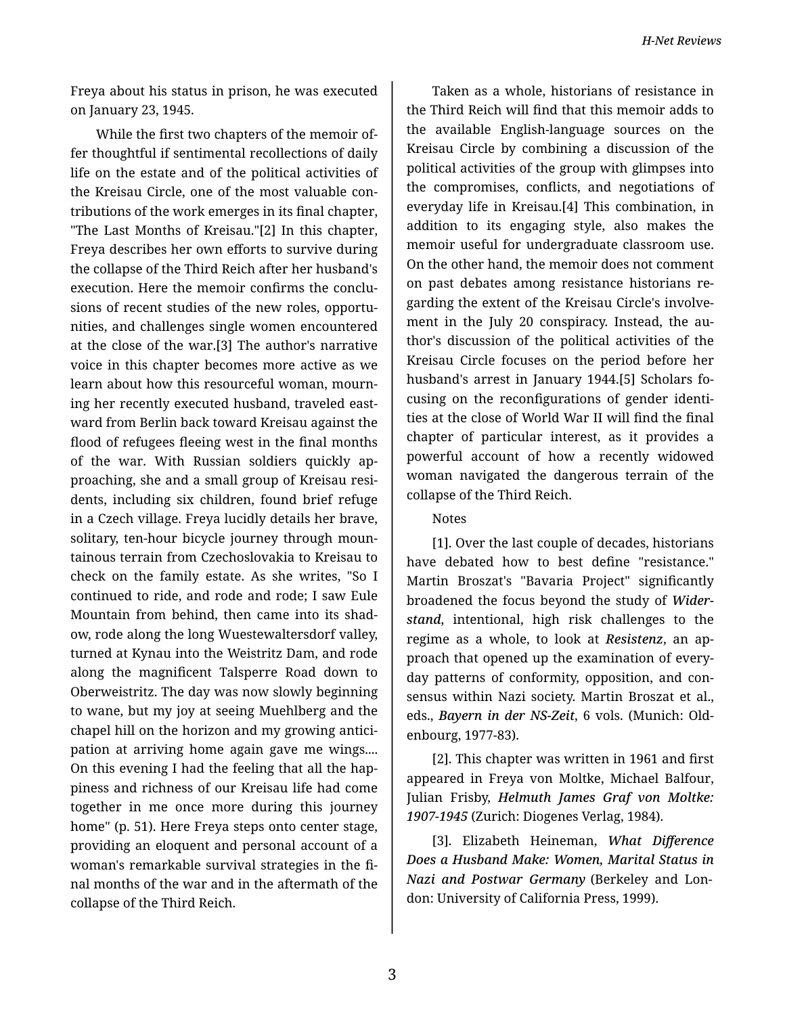Freya about his status in prison, he was executed on January 23, 1945.

While the first two chapters of the memoir of‐ fer thoughtful if sentimental recollections of daily life on the estate and of the political activities of the Kreisau Circle, one of the most valuable con‐ tributions of the work emerges in its final chapter, "The Last Months of Kreisau."[2] In this chapter, Freya describes her own efforts to survive during the collapse of the Third Reich after her husband's execution. Here the memoir confirms the conclu‐ sions of recent studies of the new roles, opportu‐ nities, and challenges single women encountered at the close of the war.[3] The author's narrative voice in this chapter becomes more active as we learn about how this resourceful woman, mourn‐ ing her recently executed husband, traveled east‐ ward from Berlin back toward Kreisau against the flood of refugees fleeing west in the final months of the war. With Russian soldiers quickly ap‐ proaching, she and a small group of Kreisau resi‐ dents, including six children, found brief refuge in a Czech village. Freya lucidly details her brave, solitary, ten-hour bicycle journey through moun‐ tainous terrain from Czechoslovakia to Kreisau to check on the family estate. As she writes, "So I continued to ride, and rode and rode; I saw Eule Mountain from behind, then came into its shad‐ ow, rode along the long Wuestewaltersdorf valley, turned at Kynau into the Weistritz Dam, and rode along the magnificent Talsperre Road down to Oberweistritz. The day was now slowly beginning to wane, but my joy at seeing Muehlberg and the chapel hill on the horizon and my growing antici‐ pation at arriving home again gave me wings.... On this evening I had the feeling that all the hap‐ piness and richness of our Kreisau life had come together in me once more during this journey home" (p. 51). Here Freya steps onto center stage, providing an eloquent and personal account of a woman's remarkable survival strategies in the fi‐ nal months of the war and in the aftermath of the collapse of the Third Reich.

Taken as a whole, historians of resistance in the Third Reich will find that this memoir adds to the available English-language sources on the Kreisau Circle by combining a discussion of the political activities of the group with glimpses into the compromises, conflicts, and negotiations of everyday life in Kreisau.[4] This combination, in addition to its engaging style, also makes the memoir useful for undergraduate classroom use. On the other hand, the memoir does not comment on past debates among resistance historians re‐ garding the extent of the Kreisau Circle's involve‐ ment in the July 20 conspiracy. Instead, the author's discussion of the political activities of the Kreisau Circle focuses on the period before her husband's arrest in January 1944.[5] Scholars fo‐ cusing on the reconfigurations of gender identi‐ ties at the close of World War II will find the final chapter of particular interest, as it provides a powerful account of how a recently widowed woman navigated the dangerous terrain of the collapse of the Third Reich.

## Notes

[1]. Over the last couple of decades, historians have debated how to best define "resistance." Martin Broszat's "Bavaria Project" significantly broadened the focus beyond the study of *Wider‐ stand*, intentional, high risk challenges to the regime as a whole, to look at *Resistenz*, an ap‐ proach that opened up the examination of every‐ day patterns of conformity, opposition, and con‐ sensus within Nazi society. Martin Broszat et al., eds., *Bayern in der NS-Zeit*, 6 vols. (Munich: Old‐ enbourg, 1977-83).

[2]. This chapter was written in 1961 and first appeared in Freya von Moltke, Michael Balfour, Julian Frisby, *Helmuth James Graf von Moltke: 1907-1945* (Zurich: Diogenes Verlag, 1984).

[3]. Elizabeth Heineman, *What Difference Does a Husband Make: Women, Marital Status in Nazi and Postwar Germany* (Berkeley and Lon‐ don: University of California Press, 1999).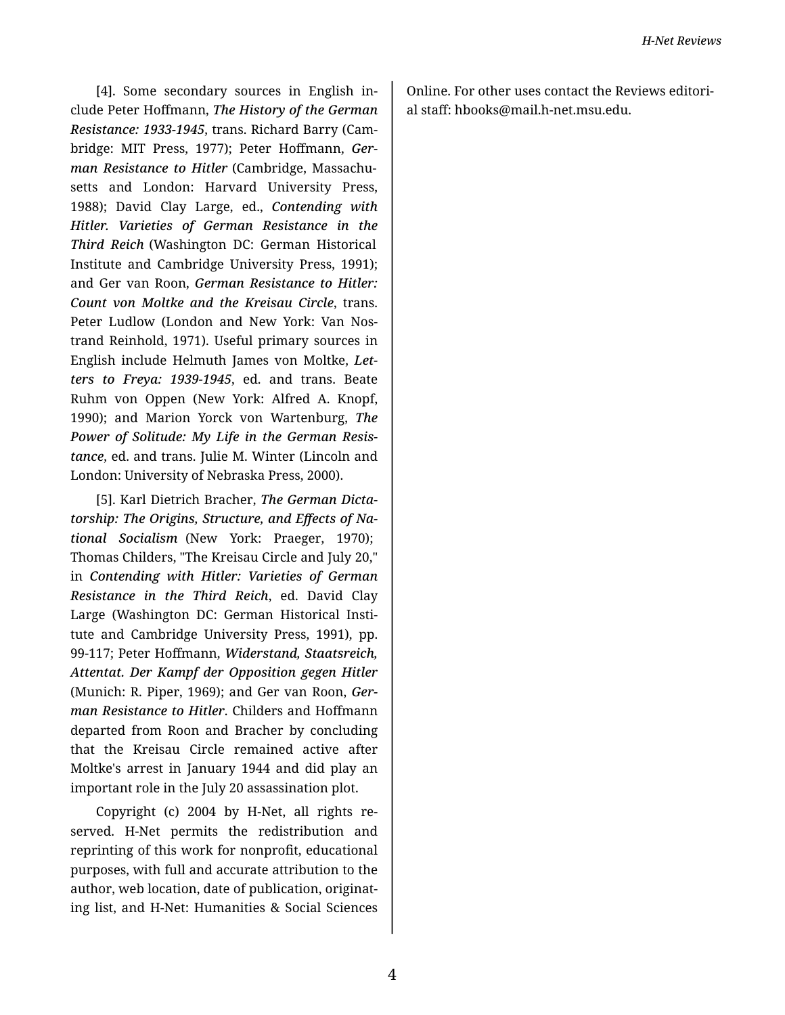[4]. Some secondary sources in English in‐ clude Peter Hoffmann, *The History of the German Resistance: 1933-1945*, trans. Richard Barry (Cam‐ bridge: MIT Press, 1977); Peter Hoffmann, *Ger‐ man Resistance to Hitler* (Cambridge, Massachu‐ setts and London: Harvard University Press, 1988); David Clay Large, ed., *Contending with Hitler. Varieties of German Resistance in the Third Reich* (Washington DC: German Historical Institute and Cambridge University Press, 1991); and Ger van Roon, *German Resistance to Hitler: Count von Moltke and the Kreisau Circle*, trans. Peter Ludlow (London and New York: Van Nos‐ trand Reinhold, 1971). Useful primary sources in English include Helmuth James von Moltke, *Let‐ ters to Freya: 1939-1945*, ed. and trans. Beate Ruhm von Oppen (New York: Alfred A. Knopf, 1990); and Marion Yorck von Wartenburg, *The Power of Solitude: My Life in the German Resis‐ tance*, ed. and trans. Julie M. Winter (Lincoln and London: University of Nebraska Press, 2000).

[5]. Karl Dietrich Bracher, *The German Dicta‐ torship: The Origins, Structure, and Effects of Na‐ tional Socialism* (New York: Praeger, 1970); Thomas Childers, "The Kreisau Circle and July 20," in *Contending with Hitler: Varieties of German Resistance in the Third Reich*, ed. David Clay Large (Washington DC: German Historical Insti‐ tute and Cambridge University Press, 1991), pp. 99-117; Peter Hoffmann, *Widerstand, Staatsreich, Attentat. Der Kampf der Opposition gegen Hitler* (Munich: R. Piper, 1969); and Ger van Roon, *Ger‐ man Resistance to Hitler*. Childers and Hoffmann departed from Roon and Bracher by concluding that the Kreisau Circle remained active after Moltke's arrest in January 1944 and did play an important role in the July 20 assassination plot.

Copyright (c) 2004 by H-Net, all rights re‐ served. H-Net permits the redistribution and reprinting of this work for nonprofit, educational purposes, with full and accurate attribution to the author, web location, date of publication, originat‐ ing list, and H-Net: Humanities & Social Sciences

Online. For other uses contact the Reviews editori‐ al staff: hbooks@mail.h-net.msu.edu.